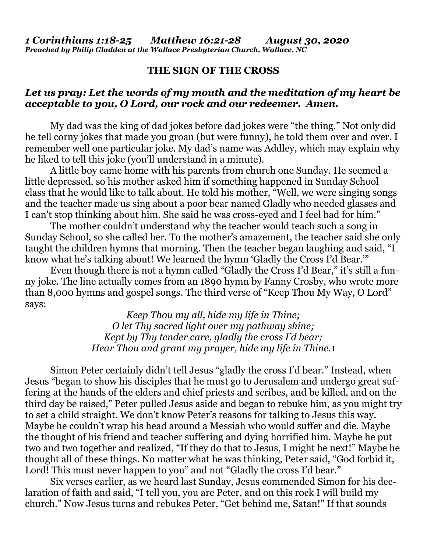## **THE SIGN OF THE CROSS**

## *Let us pray: Let the words of my mouth and the meditation of my heart be acceptable to you, O Lord, our rock and our redeemer. Amen.*

My dad was the king of dad jokes before dad jokes were "the thing." Not only did he tell corny jokes that made you groan (but were funny), he told them over and over. I remember well one particular joke. My dad's name was Addley, which may explain why he liked to tell this joke (you'll understand in a minute).

A little boy came home with his parents from church one Sunday. He seemed a little depressed, so his mother asked him if something happened in Sunday School class that he would like to talk about. He told his mother, "Well, we were singing songs and the teacher made us sing about a poor bear named Gladly who needed glasses and I can't stop thinking about him. She said he was cross-eyed and I feel bad for him."

The mother couldn't understand why the teacher would teach such a song in Sunday School, so she called her. To the mother's amazement, the teacher said she only taught the children hymns that morning. Then the teacher began laughing and said, "I know what he's talking about! We learned the hymn 'Gladly the Cross I'd Bear.'"

Even though there is not a hymn called "Gladly the Cross I'd Bear," it's still a funny joke. The line actually comes from an 1890 hymn by Fanny Crosby, who wrote more than 8,000 hymns and gospel songs. The third verse of "Keep Thou My Way, O Lord" says:

> *Keep Thou my all, hide my life in Thine; O let Thy sacred light over my pathway shine; Kept by Thy tender care, gladly the cross I'd bear; Hear Thou and grant my prayer, hide my life in Thine.*1

Simon Peter certainly didn't tell Jesus "gladly the cross I'd bear." Instead, when Jesus "began to show his disciples that he must go to Jerusalem and undergo great suffering at the hands of the elders and chief priests and scribes, and be killed, and on the third day be raised," Peter pulled Jesus aside and began to rebuke him, as you might try to set a child straight. We don't know Peter's reasons for talking to Jesus this way. Maybe he couldn't wrap his head around a Messiah who would suffer and die. Maybe the thought of his friend and teacher suffering and dying horrified him. Maybe he put two and two together and realized, "If they do that to Jesus, I might be next!" Maybe he thought all of these things. No matter what he was thinking, Peter said, "God forbid it, Lord! This must never happen to you" and not "Gladly the cross I'd bear."

Six verses earlier, as we heard last Sunday, Jesus commended Simon for his declaration of faith and said, "I tell you, you are Peter, and on this rock I will build my church." Now Jesus turns and rebukes Peter, "Get behind me, Satan!" If that sounds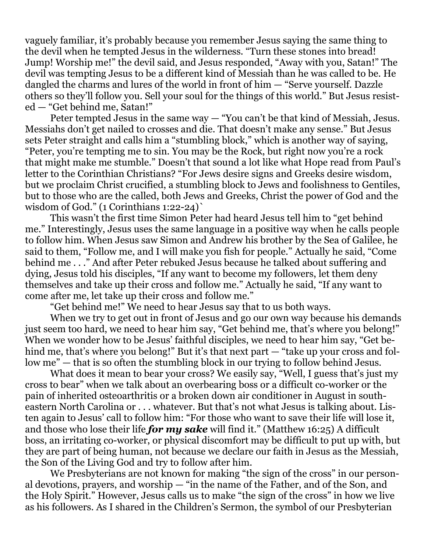vaguely familiar, it's probably because you remember Jesus saying the same thing to the devil when he tempted Jesus in the wilderness. "Turn these stones into bread! Jump! Worship me!" the devil said, and Jesus responded, "Away with you, Satan!" The devil was tempting Jesus to be a different kind of Messiah than he was called to be. He dangled the charms and lures of the world in front of him — "Serve yourself. Dazzle others so they'll follow you. Sell your soul for the things of this world." But Jesus resisted — "Get behind me, Satan!"

Peter tempted Jesus in the same way — "You can't be that kind of Messiah, Jesus. Messiahs don't get nailed to crosses and die. That doesn't make any sense." But Jesus sets Peter straight and calls him a "stumbling block," which is another way of saying, "Peter, you're tempting me to sin. You may be the Rock, but right now you're a rock that might make me stumble." Doesn't that sound a lot like what Hope read from Paul's letter to the Corinthian Christians? "For Jews desire signs and Greeks desire wisdom, but we proclaim Christ crucified, a stumbling block to Jews and foolishness to Gentiles, but to those who are the called, both Jews and Greeks, Christ the power of God and the wisdom of God." (1 Corinthians 1:22-24)`

This wasn't the first time Simon Peter had heard Jesus tell him to "get behind me." Interestingly, Jesus uses the same language in a positive way when he calls people to follow him. When Jesus saw Simon and Andrew his brother by the Sea of Galilee, he said to them, "Follow me, and I will make you fish for people." Actually he said, "Come behind me . . ." And after Peter rebuked Jesus because he talked about suffering and dying, Jesus told his disciples, "If any want to become my followers, let them deny themselves and take up their cross and follow me." Actually he said, "If any want to come after me, let take up their cross and follow me."

"Get behind me!" We need to hear Jesus say that to us both ways.

When we try to get out in front of Jesus and go our own way because his demands just seem too hard, we need to hear him say, "Get behind me, that's where you belong!" When we wonder how to be Jesus' faithful disciples, we need to hear him say, "Get behind me, that's where you belong!" But it's that next part — "take up your cross and follow me" — that is so often the stumbling block in our trying to follow behind Jesus.

What does it mean to bear your cross? We easily say, "Well, I guess that's just my cross to bear" when we talk about an overbearing boss or a difficult co-worker or the pain of inherited osteoarthritis or a broken down air conditioner in August in southeastern North Carolina or . . . whatever. But that's not what Jesus is talking about. Listen again to Jesus' call to follow him: "For those who want to save their life will lose it, and those who lose their life *for my sake* will find it." (Matthew 16:25) A difficult boss, an irritating co-worker, or physical discomfort may be difficult to put up with, but they are part of being human, not because we declare our faith in Jesus as the Messiah, the Son of the Living God and try to follow after him.

We Presbyterians are not known for making "the sign of the cross" in our personal devotions, prayers, and worship — "in the name of the Father, and of the Son, and the Holy Spirit." However, Jesus calls us to make "the sign of the cross" in how we live as his followers. As I shared in the Children's Sermon, the symbol of our Presbyterian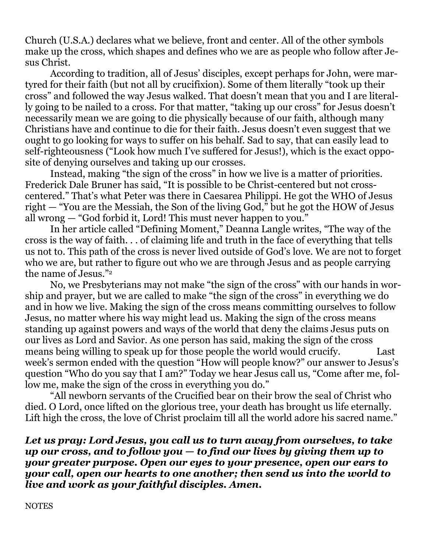Church (U.S.A.) declares what we believe, front and center. All of the other symbols make up the cross, which shapes and defines who we are as people who follow after Jesus Christ.

According to tradition, all of Jesus' disciples, except perhaps for John, were martyred for their faith (but not all by crucifixion). Some of them literally "took up their cross" and followed the way Jesus walked. That doesn't mean that you and I are literally going to be nailed to a cross. For that matter, "taking up our cross" for Jesus doesn't necessarily mean we are going to die physically because of our faith, although many Christians have and continue to die for their faith. Jesus doesn't even suggest that we ought to go looking for ways to suffer on his behalf. Sad to say, that can easily lead to self-righteousness ("Look how much I've suffered for Jesus!), which is the exact opposite of denying ourselves and taking up our crosses.

Instead, making "the sign of the cross" in how we live is a matter of priorities. Frederick Dale Bruner has said, "It is possible to be Christ-centered but not crosscentered." That's what Peter was there in Caesarea Philippi. He got the WHO of Jesus right — "You are the Messiah, the Son of the living God," but he got the HOW of Jesus all wrong — "God forbid it, Lord! This must never happen to you."

In her article called "Defining Moment," Deanna Langle writes, "The way of the cross is the way of faith. . . of claiming life and truth in the face of everything that tells us not to. This path of the cross is never lived outside of God's love. We are not to forget who we are, but rather to figure out who we are through Jesus and as people carrying the name of Jesus."<sup>2</sup>

No, we Presbyterians may not make "the sign of the cross" with our hands in worship and prayer, but we are called to make "the sign of the cross" in everything we do and in how we live. Making the sign of the cross means committing ourselves to follow Jesus, no matter where his way might lead us. Making the sign of the cross means standing up against powers and ways of the world that deny the claims Jesus puts on our lives as Lord and Savior. As one person has said, making the sign of the cross means being willing to speak up for those people the world would crucify. Last week's sermon ended with the question "How will people know?" our answer to Jesus's question "Who do you say that I am?" Today we hear Jesus call us, "Come after me, follow me, make the sign of the cross in everything you do."

"All newborn servants of the Crucified bear on their brow the seal of Christ who died. O Lord, once lifted on the glorious tree, your death has brought us life eternally. Lift high the cross, the love of Christ proclaim till all the world adore his sacred name."

*Let us pray: Lord Jesus, you call us to turn away from ourselves, to take up our cross, and to follow you — to find our lives by giving them up to your greater purpose. Open our eyes to your presence, open our ears to your call, open our hearts to one another; then send us into the world to live and work as your faithful disciples. Amen.*